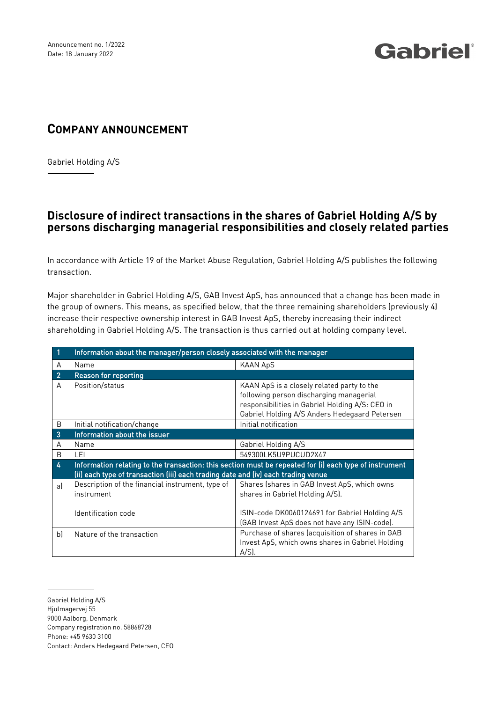# Gabriel®

### **COMPANY ANNOUNCEMENT**

Gabriel Holding A/S

#### **Disclosure of indirect transactions in the shares of Gabriel Holding A/S by persons discharging managerial responsibilities and closely related parties**

In accordance with Article 19 of the Market Abuse Regulation, Gabriel Holding A/S publishes the following transaction.

Major shareholder in Gabriel Holding A/S, GAB Invest ApS, has announced that a change has been made in the group of owners. This means, as specified below, that the three remaining shareholders (previously 4) increase their respective ownership interest in GAB Invest ApS, thereby increasing their indirect shareholding in Gabriel Holding A/S. The transaction is thus carried out at holding company level.

|                | Information about the manager/person closely associated with the manager                                                                                                                    |                                                                                                                                                                                           |  |  |  |
|----------------|---------------------------------------------------------------------------------------------------------------------------------------------------------------------------------------------|-------------------------------------------------------------------------------------------------------------------------------------------------------------------------------------------|--|--|--|
| A              | Name                                                                                                                                                                                        | <b>KAAN ApS</b>                                                                                                                                                                           |  |  |  |
| $\overline{2}$ | <b>Reason for reporting</b>                                                                                                                                                                 |                                                                                                                                                                                           |  |  |  |
| A              | Position/status                                                                                                                                                                             | KAAN ApS is a closely related party to the<br>following person discharging managerial<br>responsibilities in Gabriel Holding A/S: CEO in<br>Gabriel Holding A/S Anders Hedegaard Petersen |  |  |  |
| B              | Initial notification/change                                                                                                                                                                 | Initial notification                                                                                                                                                                      |  |  |  |
| 3              | Information about the issuer                                                                                                                                                                |                                                                                                                                                                                           |  |  |  |
| A              | Name                                                                                                                                                                                        | Gabriel Holding A/S                                                                                                                                                                       |  |  |  |
| B              | LEI                                                                                                                                                                                         | 549300LK5U9PUCUD2X47                                                                                                                                                                      |  |  |  |
| 4              | Information relating to the transaction: this section must be repeated for (i) each type of instrument<br>(ii) each type of transaction (iii) each trading date and (iv) each trading venue |                                                                                                                                                                                           |  |  |  |
| al             | Description of the financial instrument, type of<br>instrument<br>Identification code                                                                                                       | Shares (shares in GAB Invest ApS, which owns<br>shares in Gabriel Holding A/S).<br>ISIN-code DK0060124691 for Gabriel Holding A/S                                                         |  |  |  |
|                |                                                                                                                                                                                             | (GAB Invest ApS does not have any ISIN-code).                                                                                                                                             |  |  |  |
| b              | Nature of the transaction                                                                                                                                                                   | Purchase of shares (acquisition of shares in GAB<br>Invest ApS, which owns shares in Gabriel Holding<br>$A/Sl$ .                                                                          |  |  |  |

Gabriel Holding A/S

Hjulmagervej 55

<sup>9000</sup> Aalborg, Denmark

Company registration no. 58868728

Phone: +45 9630 3100

Contact: Anders Hedegaard Petersen, CEO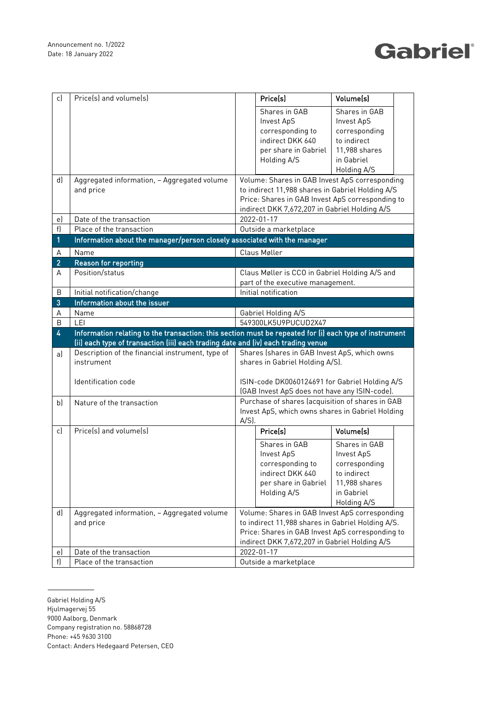## Gabriel®

| c)             | Price(s) and volume(s)                                                            | Volume(s)<br>Price(s)                                                                                                                                                                                                          |                                                                                                        |  |  |  |  |  |
|----------------|-----------------------------------------------------------------------------------|--------------------------------------------------------------------------------------------------------------------------------------------------------------------------------------------------------------------------------|--------------------------------------------------------------------------------------------------------|--|--|--|--|--|
|                |                                                                                   | Shares in GAB<br>Shares in GAB<br>Invest ApS<br><b>Invest ApS</b><br>corresponding to<br>corresponding<br>indirect DKK 640<br>to indirect                                                                                      |                                                                                                        |  |  |  |  |  |
|                |                                                                                   | per share in Gabriel<br>11,988 shares<br>Holding A/S<br>in Gabriel<br>Holding A/S                                                                                                                                              |                                                                                                        |  |  |  |  |  |
| d)             | Aggregated information, - Aggregated volume<br>and price                          | Volume: Shares in GAB Invest ApS corresponding<br>to indirect 11,988 shares in Gabriel Holding A/S<br>Price: Shares in GAB Invest ApS corresponding to<br>indirect DKK 7,672,207 in Gabriel Holding A/S                        |                                                                                                        |  |  |  |  |  |
| e)             | Date of the transaction                                                           | 2022-01-17                                                                                                                                                                                                                     |                                                                                                        |  |  |  |  |  |
| f)             | Place of the transaction                                                          | Outside a marketplace                                                                                                                                                                                                          |                                                                                                        |  |  |  |  |  |
| $\mathbf{1}$   | Information about the manager/person closely associated with the manager          |                                                                                                                                                                                                                                |                                                                                                        |  |  |  |  |  |
| Α              | Name                                                                              | Claus Møller                                                                                                                                                                                                                   |                                                                                                        |  |  |  |  |  |
| $\overline{2}$ | <b>Reason for reporting</b>                                                       |                                                                                                                                                                                                                                |                                                                                                        |  |  |  |  |  |
| A              | Position/status                                                                   | Claus Møller is CCO in Gabriel Holding A/S and<br>part of the executive management.                                                                                                                                            |                                                                                                        |  |  |  |  |  |
| B              | Initial notification/change                                                       | Initial notification                                                                                                                                                                                                           |                                                                                                        |  |  |  |  |  |
| 3              | Information about the issuer                                                      |                                                                                                                                                                                                                                |                                                                                                        |  |  |  |  |  |
| А              | Name                                                                              | Gabriel Holding A/S                                                                                                                                                                                                            |                                                                                                        |  |  |  |  |  |
| B              | LEI                                                                               | 549300LK5U9PUCUD2X47                                                                                                                                                                                                           |                                                                                                        |  |  |  |  |  |
|                |                                                                                   |                                                                                                                                                                                                                                | Information relating to the transaction: this section must be repeated for (i) each type of instrument |  |  |  |  |  |
| 4              |                                                                                   |                                                                                                                                                                                                                                |                                                                                                        |  |  |  |  |  |
|                | (ii) each type of transaction (iii) each trading date and (iv) each trading venue |                                                                                                                                                                                                                                |                                                                                                        |  |  |  |  |  |
| a)             | Description of the financial instrument, type of<br>instrument                    | Shares (shares in GAB Invest ApS, which owns<br>shares in Gabriel Holding A/S).                                                                                                                                                |                                                                                                        |  |  |  |  |  |
|                | Identification code                                                               | ISIN-code DK0060124691 for Gabriel Holding A/S                                                                                                                                                                                 |                                                                                                        |  |  |  |  |  |
| b)             | Nature of the transaction                                                         | (GAB Invest ApS does not have any ISIN-code).<br>Purchase of shares (acquisition of shares in GAB<br>Invest ApS, which owns shares in Gabriel Holding<br>$A/S$ ).                                                              |                                                                                                        |  |  |  |  |  |
| c)             | Price(s) and volume(s)                                                            | Volume(s)<br>Price(s)                                                                                                                                                                                                          |                                                                                                        |  |  |  |  |  |
|                |                                                                                   | Shares in GAB<br>Shares in GAB<br><b>Invest ApS</b><br>Invest ApS<br>corresponding to<br>corresponding<br>indirect DKK 640<br>to indirect<br>11,988 shares<br>per share in Gabriel<br>Holding A/S<br>in Gabriel<br>Holding A/S |                                                                                                        |  |  |  |  |  |
| d)             | Aggregated information, - Aggregated volume<br>and price                          | Volume: Shares in GAB Invest ApS corresponding<br>to indirect 11,988 shares in Gabriel Holding A/S.<br>Price: Shares in GAB Invest ApS corresponding to<br>indirect DKK 7,672,207 in Gabriel Holding A/S                       |                                                                                                        |  |  |  |  |  |
| eJ             | Date of the transaction                                                           | 2022-01-17                                                                                                                                                                                                                     |                                                                                                        |  |  |  |  |  |

Gabriel Holding A/S

- Hjulmagervej 55
- 9000 Aalborg, Denmark
- Company registration no. 58868728
- Phone: +45 9630 3100
- Contact: Anders Hedegaard Petersen, CEO